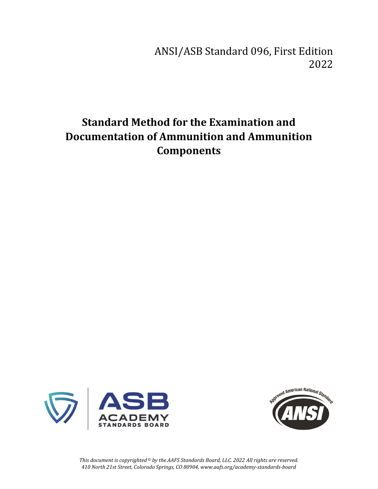# ANSI/ASB Standard 096, First Edition 2022

# **Standard Method for the Examination and Documentation of Ammunition and Ammunition Components**





*This document is copyrighted © by the AAFS Standards Board, LLC. 2022 All rights are reserved. 410 North 21st Street, Colorado Springs, CO 80904, www.aafs.org/academy-standards-board*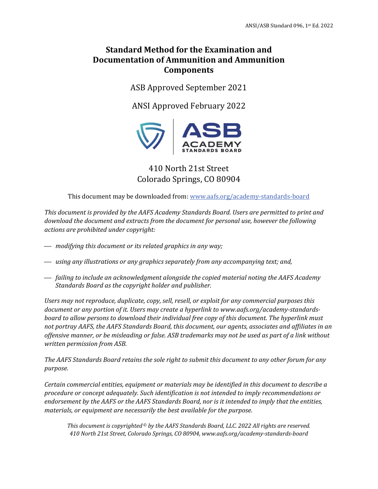## **Standard Method for the Examination and Documentation of Ammunition and Ammunition Components**

ASB Approved September 2021

ANSI Approved February 2022



# 410 North 21st Street Colorado Springs, CO 80904

This document may be downloaded from: www.aafs.org/academy-standards-board

*This document is provided by the AAFS Academy Standards Board. Users are permitted to print and download the document and extracts from the document for personal use, however the following actions are prohibited under copyright:* 

- ⎯ *modifying this document or its related graphics in any way;*
- ⎯ *using any illustrations or any graphics separately from any accompanying text; and,*
- ⎯ *failing to include an acknowledgment alongside the copied material noting the AAFS Academy Standards Board as the copyright holder and publisher.*

*Users may not reproduce, duplicate, copy, sell, resell, or exploit for any commercial purposes this document or any portion of it. Users may create a hyperlink to www.aafs.org/academy-standardsboard to allow persons to download their individual free copy of this document. The hyperlink must not portray AAFS, the AAFS Standards Board, this document, our agents, associates and affiliates in an offensive manner, or be misleading or false. ASB trademarks may not be used as part of a link without written permission from ASB.* 

*The AAFS Standards Board retains the sole right to submit this document to any other forum for any purpose.* 

*Certain commercial entities, equipment or materials may be identified in this document to describe a procedure or concept adequately. Such identification is not intended to imply recommendations or endorsement by the AAFS or the AAFS Standards Board, nor is it intended to imply that the entities, materials, or equipment are necessarily the best available for the purpose.* 

*This document is copyrighted © by the AAFS Standards Board, LLC. 2022 All rights are reserved. 410 North 21st Street, Colorado Springs, CO 80904, www.aafs.org/academy-standards-board*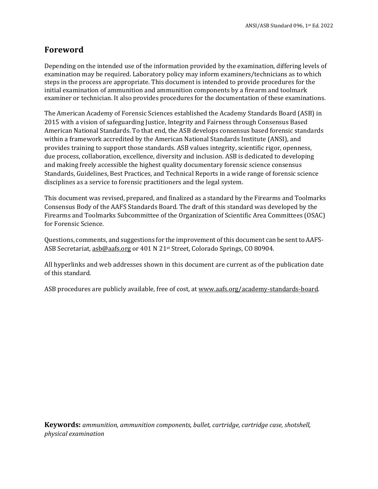## **Foreword**

Depending on the intended use of the information provided by the examination, differing levels of examination may be required. Laboratory policy may inform examiners/technicians as to which steps in the process are appropriate. This document is intended to provide procedures for the initial examination of ammunition and ammunition components by a firearm and toolmark examiner or technician. It also provides procedures for the documentation of these examinations.

The American Academy of Forensic Sciences established the Academy Standards Board (ASB) in 2015 with a vision of safeguarding Justice, Integrity and Fairness through Consensus Based American National Standards. To that end, the ASB develops consensus based forensic standards within a framework accredited by the American National Standards Institute (ANSI), and provides training to support those standards. ASB values integrity, scientific rigor, openness, due process, collaboration, excellence, diversity and inclusion. ASB is dedicated to developing and making freely accessible the highest quality documentary forensic science consensus Standards, Guidelines, Best Practices, and Technical Reports in a wide range of forensic science disciplines as a service to forensic practitioners and the legal system.

This document was revised, prepared, and finalized as a standard by the Firearms and Toolmarks Consensus Body of the AAFS Standards Board. The draft of this standard was developed by the Firearms and Toolmarks Subcommittee of the Organization of Scientific Area Committees (OSAC) for Forensic Science.

Questions, comments, and suggestions for the improvement of this document can be sent to AAFS-ASB Secretariat, asb@aafs.org or 401 N 21<sup>st</sup> Street, Colorado Springs, CO 80904.

All hyperlinks and web addresses shown in this document are current as of the publication date of this standard.

ASB procedures are publicly available, free of cost, at www.aafs.org/academy-standards-board.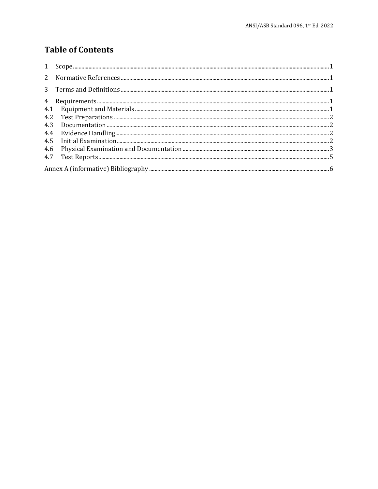# **Table of Contents**

| 4.4 |  |
|-----|--|
| 4.5 |  |
| 4.6 |  |
|     |  |
|     |  |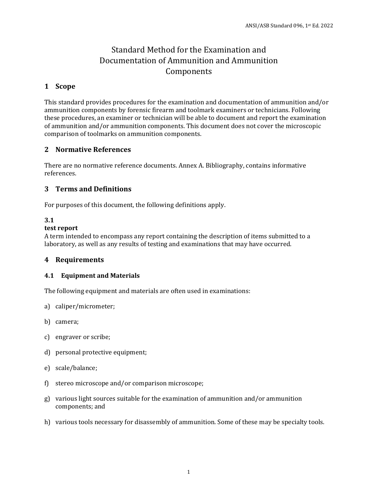# Standard Method for the Examination and Documentation of Ammunition and Ammunition Components

## **1 Scope**

This standard provides procedures for the examination and documentation of ammunition and/or ammunition components by forensic firearm and toolmark examiners or technicians. Following these procedures, an examiner or technician will be able to document and report the examination of ammunition and/or ammunition components. This document does not cover the microscopic comparison of toolmarks on ammunition components.

## **2 Normative References**

There are no normative reference documents. Annex A. Bibliography, contains informative references.

## **3 Terms and Definitions**

For purposes of this document, the following definitions apply.

### **3.1**

#### **test report**

A term intended to encompass any report containing the description of items submitted to a laboratory, as well as any results of testing and examinations that may have occurred.

### **4 Requirements**

#### **4.1 Equipment and Materials**

The following equipment and materials are often used in examinations:

- a) caliper/micrometer;
- b) camera;
- c) engraver or scribe;
- d) personal protective equipment;
- e) scale/balance;
- f) stereo microscope and/or comparison microscope;
- g) various light sources suitable for the examination of ammunition and/or ammunition components; and
- h) various tools necessary for disassembly of ammunition. Some of these may be specialty tools.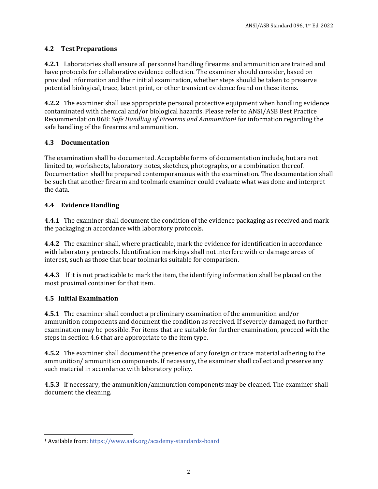## **4.2 Test Preparations**

**4.2.1** Laboratories shall ensure all personnel handling firearms and ammunition are trained and have protocols for collaborative evidence collection. The examiner should consider, based on provided information and their initial examination, whether steps should be taken to preserve potential biological, trace, latent print, or other transient evidence found on these items.

**4.2.2** The examiner shall use appropriate personal protective equipment when handling evidence contaminated with chemical and/or biological hazards. Please refer to ANSI/ASB Best Practice Recommendation 068: *Safe Handling of Firearms and Ammunition1* for information regarding the safe handling of the firearms and ammunition.

## **4.3 Documentation**

The examination shall be documented. Acceptable forms of documentation include, but are not limited to, worksheets, laboratory notes, sketches, photographs, or a combination thereof. Documentation shall be prepared contemporaneous with the examination. The documentation shall be such that another firearm and toolmark examiner could evaluate what was done and interpret the data.

## **4.4 Evidence Handling**

**4.4.1** The examiner shall document the condition of the evidence packaging as received and mark the packaging in accordance with laboratory protocols.

**4.4.2** The examiner shall, where practicable, mark the evidence for identification in accordance with laboratory protocols. Identification markings shall not interfere with or damage areas of interest, such as those that bear toolmarks suitable for comparison.

**4.4.3** If it is not practicable to mark the item, the identifying information shall be placed on the most proximal container for that item.

## **4.5 Initial Examination**

 $\overline{\phantom{0}}$ 

**4.5.1** The examiner shall conduct a preliminary examination of the ammunition and/or ammunition components and document the condition as received. If severely damaged, no further examination may be possible. For items that are suitable for further examination, proceed with the steps in section 4.6 that are appropriate to the item type.

**4.5.2** The examiner shall document the presence of any foreign or trace material adhering to the ammunition/ ammunition components. If necessary, the examiner shall collect and preserve any such material in accordance with laboratory policy.

**4.5.3** If necessary, the ammunition/ammunition components may be cleaned. The examiner shall document the cleaning.

<sup>1</sup> Available from: https://www.aafs.org/academy-standards-board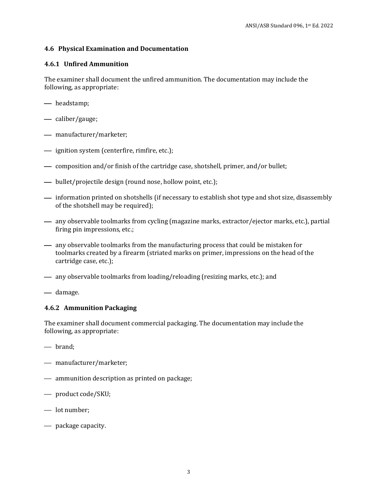#### **4.6 Physical Examination and Documentation**

#### **4.6.1 Unfired Ammunition**

The examiner shall document the unfired ammunition. The documentation may include the following, as appropriate:

- headstamp;
- caliber/gauge;
- manufacturer/marketer;
- $\longrightarrow$  ignition system (centerfire, rimfire, etc.);
- composition and/or finish of the cartridge case, shotshell, primer, and/or bullet;
- bullet/projectile design (round nose, hollow point, etc.);
- $\overline{\phantom{a}}$  information printed on shotshells (if necessary to establish shot type and shot size, disassembly of the shotshell may be required);
- $\longrightarrow$  any observable toolmarks from cycling (magazine marks, extractor/ejector marks, etc.), partial firing pin impressions, etc.;
- $\equiv$  any observable toolmarks from the manufacturing process that could be mistaken for toolmarks created by a firearm (striated marks on primer, impressions on the head of the cartridge case, etc.);
- ⎯ any observable toolmarks from loading/reloading (resizing marks, etc.); and
- damage.

#### **4.6.2 Ammunition Packaging**

The examiner shall document commercial packaging. The documentation may include the following, as appropriate:

- brand;
- manufacturer/marketer;
- $\equiv$  ammunition description as printed on package;
- ⎯ product code/SKU;
- lot number;
- $-$  package capacity.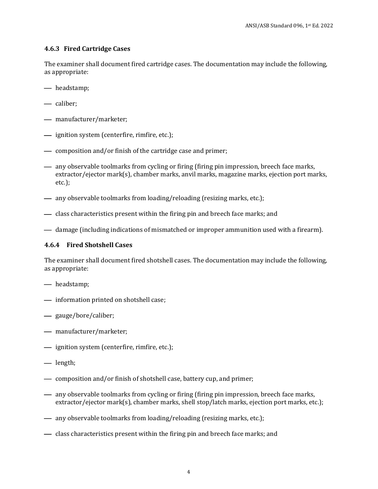#### **4.6.3 Fired Cartridge Cases**

The examiner shall document fired cartridge cases. The documentation may include the following, as appropriate:

- headstamp;
- caliber:
- manufacturer/marketer;
- $\longrightarrow$  ignition system (centerfire, rimfire, etc.);
- $\equiv$  composition and/or finish of the cartridge case and primer;
- $\rightarrow$  any observable toolmarks from cycling or firing (firing pin impression, breech face marks, extractor/ejector mark(s), chamber marks, anvil marks, magazine marks, ejection port marks, etc.);
- $\rightarrow$  any observable toolmarks from loading/reloading (resizing marks, etc.);
- class characteristics present within the firing pin and breech face marks; and
- damage (including indications of mismatched or improper ammunition used with a firearm).

#### **4.6.4 Fired Shotshell Cases**

The examiner shall document fired shotshell cases. The documentation may include the following, as appropriate:

- headstamp;
- $\longrightarrow$  information printed on shotshell case;
- ⎯ gauge/bore/caliber;
- manufacturer/marketer;
- $\frac{1}{\sqrt{1-\frac{1}{\pi}}}$  ignition system (centerfire, rimfire, etc.);
- length;
- $\sim$  composition and/or finish of shotshell case, battery cup, and primer;
- $\rightarrow$  any observable toolmarks from cycling or firing (firing pin impression, breech face marks, extractor/ejector mark(s), chamber marks, shell stop/latch marks, ejection port marks, etc.);
- $\rightarrow$  any observable toolmarks from loading/reloading (resizing marks, etc.);
- class characteristics present within the firing pin and breech face marks; and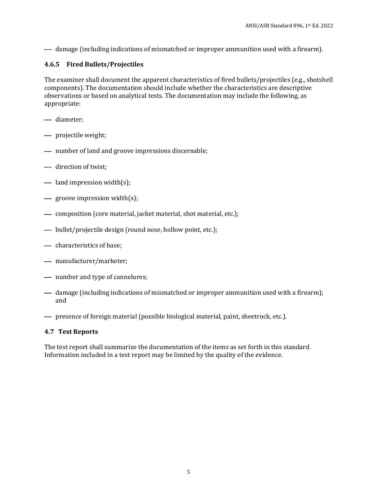— damage (including indications of mismatched or improper ammunition used with a firearm).

## **4.6.5 Fired Bullets/Projectiles**

The examiner shall document the apparent characteristics of fired bullets/projectiles (e.g., shotshell components). The documentation should include whether the characteristics are descriptive observations or based on analytical tests. The documentation may include the following, as appropriate:

- diameter;
- projectile weight;
- $\longrightarrow$  number of land and groove impressions discernable;
- direction of twist;
- $\implies$  land impression width(s);
- $\equiv$  groove impression width(s);
- composition (core material, jacket material, shot material, etc.);
- bullet/projectile design (round nose, hollow point, etc.);
- characteristics of base;
- manufacturer/marketer;
- number and type of cannelures;
- damage (including indications of mismatched or improper ammunition used with a firearm); and
- ⎯ presence of foreign material (possible biological material, paint, sheetrock, etc.).

#### **4.7 Test Reports**

The test report shall summarize the documentation of the items as set forth in this standard. Information included in a test report may be limited by the quality of the evidence.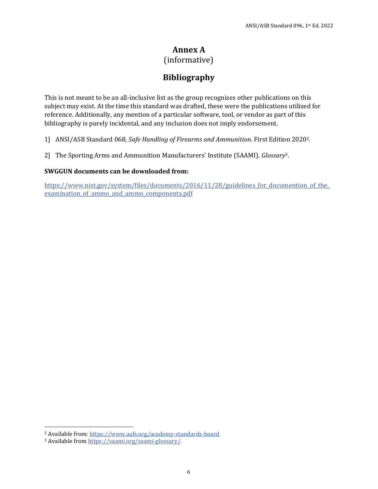# **Annex A**

(informative)

# **Bibliography**

This is not meant to be an all-inclusive list as the group recognizes other publications on this subject may exist. At the time this standard was drafted, these were the publications utilized for reference. Additionally, any mention of a particular software, tool, or vendor as part of this bibliography is purely incidental, and any inclusion does not imply endorsement.

1] ANSI/ASB Standard 068, *Safe Handling of Firearms and Ammunition*. First Edition 20202*.*

2] The Sporting Arms and Ammunition Manufacturers' Institute (SAAMI). *Glossary*3.

#### **SWGGUN documents can be downloaded from:**

https://www.nist.gov/system/files/documents/2016/11/28/guidelines for documention of the examination of ammo and ammo components.pdf

 $\overline{a}$ 

<sup>2</sup> Available from: https://www.aafs.org/academy-standards-board 3 Available from https://saami.org/saami-glossary/.